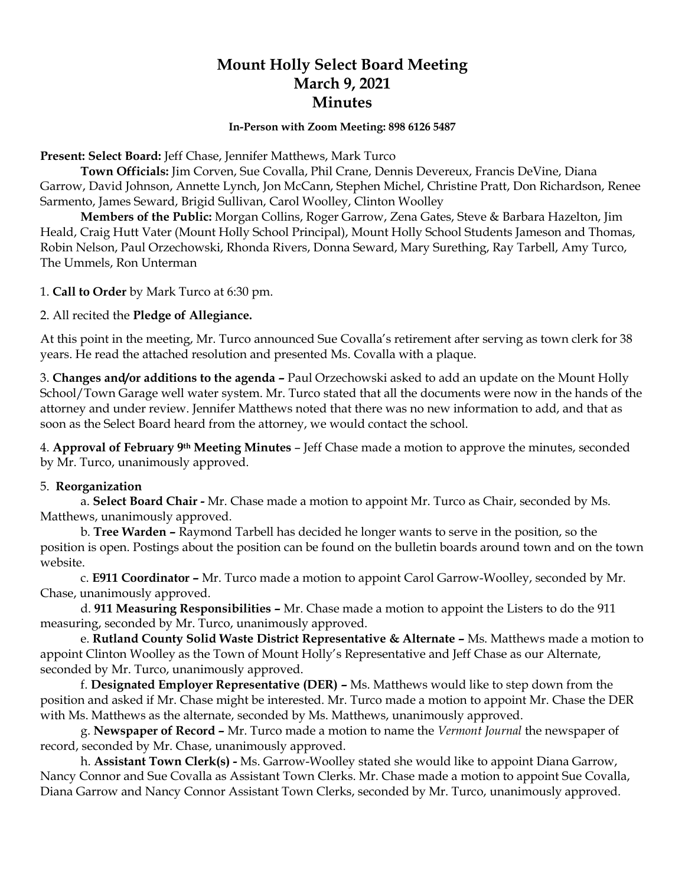# **Mount Holly Select Board Meeting March 9, 2021 Minutes**

#### **In-Person with Zoom Meeting: 898 6126 5487**

**Present: Select Board:** Jeff Chase, Jennifer Matthews, Mark Turco

**Town Officials:** Jim Corven, Sue Covalla, Phil Crane, Dennis Devereux, Francis DeVine, Diana Garrow, David Johnson, Annette Lynch, Jon McCann, Stephen Michel, Christine Pratt, Don Richardson, Renee Sarmento, James Seward, Brigid Sullivan, Carol Woolley, Clinton Woolley

**Members of the Public:** Morgan Collins, Roger Garrow, Zena Gates, Steve & Barbara Hazelton, Jim Heald, Craig Hutt Vater (Mount Holly School Principal), Mount Holly School Students Jameson and Thomas, Robin Nelson, Paul Orzechowski, Rhonda Rivers, Donna Seward, Mary Surething, Ray Tarbell, Amy Turco, The Ummels, Ron Unterman

1. **Call to Order** by Mark Turco at 6:30 pm.

2. All recited the **Pledge of Allegiance.**

At this point in the meeting, Mr. Turco announced Sue Covalla's retirement after serving as town clerk for 38 years. He read the attached resolution and presented Ms. Covalla with a plaque.

3. **Changes and/or additions to the agenda –** Paul Orzechowski asked to add an update on the Mount Holly School/Town Garage well water system. Mr. Turco stated that all the documents were now in the hands of the attorney and under review. Jennifer Matthews noted that there was no new information to add, and that as soon as the Select Board heard from the attorney, we would contact the school.

4. **Approval of February 9th Meeting Minutes** – Jeff Chase made a motion to approve the minutes, seconded by Mr. Turco, unanimously approved.

# 5. **Reorganization**

a. **Select Board Chair -** Mr. Chase made a motion to appoint Mr. Turco as Chair, seconded by Ms. Matthews, unanimously approved.

b. **Tree Warden –** Raymond Tarbell has decided he longer wants to serve in the position, so the position is open. Postings about the position can be found on the bulletin boards around town and on the town website.

c. **E911 Coordinator –** Mr. Turco made a motion to appoint Carol Garrow-Woolley, seconded by Mr. Chase, unanimously approved.

d. **911 Measuring Responsibilities –** Mr. Chase made a motion to appoint the Listers to do the 911 measuring, seconded by Mr. Turco, unanimously approved.

e. **Rutland County Solid Waste District Representative & Alternate –** Ms. Matthews made a motion to appoint Clinton Woolley as the Town of Mount Holly's Representative and Jeff Chase as our Alternate, seconded by Mr. Turco, unanimously approved.

f. **Designated Employer Representative (DER) –** Ms. Matthews would like to step down from the position and asked if Mr. Chase might be interested. Mr. Turco made a motion to appoint Mr. Chase the DER with Ms. Matthews as the alternate, seconded by Ms. Matthews, unanimously approved.

g. **Newspaper of Record –** Mr. Turco made a motion to name the *Vermont Journal* the newspaper of record, seconded by Mr. Chase, unanimously approved.

h. **Assistant Town Clerk(s) -** Ms. Garrow-Woolley stated she would like to appoint Diana Garrow, Nancy Connor and Sue Covalla as Assistant Town Clerks. Mr. Chase made a motion to appoint Sue Covalla, Diana Garrow and Nancy Connor Assistant Town Clerks, seconded by Mr. Turco, unanimously approved.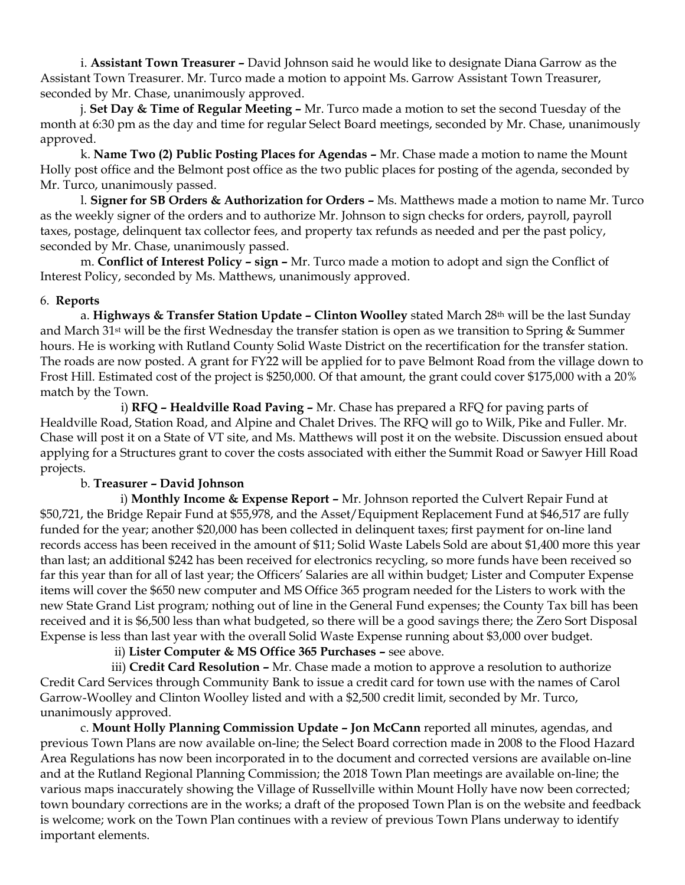i. **Assistant Town Treasurer –** David Johnson said he would like to designate Diana Garrow as the Assistant Town Treasurer. Mr. Turco made a motion to appoint Ms. Garrow Assistant Town Treasurer, seconded by Mr. Chase, unanimously approved.

j. **Set Day & Time of Regular Meeting –** Mr. Turco made a motion to set the second Tuesday of the month at 6:30 pm as the day and time for regular Select Board meetings, seconded by Mr. Chase, unanimously approved.

k. **Name Two (2) Public Posting Places for Agendas –** Mr. Chase made a motion to name the Mount Holly post office and the Belmont post office as the two public places for posting of the agenda, seconded by Mr. Turco, unanimously passed.

l. **Signer for SB Orders & Authorization for Orders –** Ms. Matthews made a motion to name Mr. Turco as the weekly signer of the orders and to authorize Mr. Johnson to sign checks for orders, payroll, payroll taxes, postage, delinquent tax collector fees, and property tax refunds as needed and per the past policy, seconded by Mr. Chase, unanimously passed.

m. **Conflict of Interest Policy – sign –** Mr. Turco made a motion to adopt and sign the Conflict of Interest Policy, seconded by Ms. Matthews, unanimously approved.

### 6. **Reports**

a. **Highways & Transfer Station Update – Clinton Woolley** stated March 28th will be the last Sunday and March 31st will be the first Wednesday the transfer station is open as we transition to Spring & Summer hours. He is working with Rutland County Solid Waste District on the recertification for the transfer station. The roads are now posted. A grant for FY22 will be applied for to pave Belmont Road from the village down to Frost Hill. Estimated cost of the project is \$250,000. Of that amount, the grant could cover \$175,000 with a 20% match by the Town.

i) **RFQ – Healdville Road Paving –** Mr. Chase has prepared a RFQ for paving parts of Healdville Road, Station Road, and Alpine and Chalet Drives. The RFQ will go to Wilk, Pike and Fuller. Mr. Chase will post it on a State of VT site, and Ms. Matthews will post it on the website. Discussion ensued about applying for a Structures grant to cover the costs associated with either the Summit Road or Sawyer Hill Road projects.

# b. **Treasurer – David Johnson**

 i) **Monthly Income & Expense Report –** Mr. Johnson reported the Culvert Repair Fund at \$50,721, the Bridge Repair Fund at \$55,978, and the Asset/Equipment Replacement Fund at \$46,517 are fully funded for the year; another \$20,000 has been collected in delinquent taxes; first payment for on-line land records access has been received in the amount of \$11; Solid Waste Labels Sold are about \$1,400 more this year than last; an additional \$242 has been received for electronics recycling, so more funds have been received so far this year than for all of last year; the Officers' Salaries are all within budget*;* Lister and Computer Expense items will cover the \$650 new computer and MS Office 365 program needed for the Listers to work with the new State Grand List program*;* nothing out of line in the General Fund expenses; the County Tax bill has been received and it is \$6,500 less than what budgeted, so there will be a good savings there; the Zero Sort Disposal Expense is less than last year with the overall Solid Waste Expense running about \$3,000 over budget.

ii) **Lister Computer & MS Office 365 Purchases –** see above.

iii) **Credit Card Resolution –** Mr. Chase made a motion to approve a resolution to authorize Credit Card Services through Community Bank to issue a credit card for town use with the names of Carol Garrow-Woolley and Clinton Woolley listed and with a \$2,500 credit limit, seconded by Mr. Turco, unanimously approved.

c. **Mount Holly Planning Commission Update – Jon McCann** reported all minutes, agendas, and previous Town Plans are now available on-line; the Select Board correction made in 2008 to the Flood Hazard Area Regulations has now been incorporated in to the document and corrected versions are available on-line and at the Rutland Regional Planning Commission; the 2018 Town Plan meetings are available on-line; the various maps inaccurately showing the Village of Russellville within Mount Holly have now been corrected; town boundary corrections are in the works; a draft of the proposed Town Plan is on the website and feedback is welcome; work on the Town Plan continues with a review of previous Town Plans underway to identify important elements.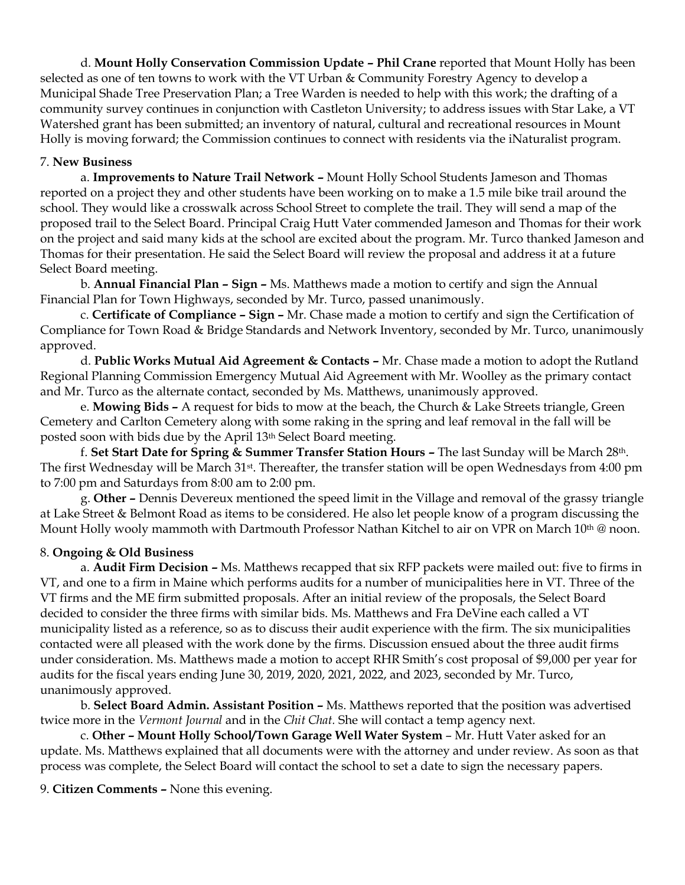d. **Mount Holly Conservation Commission Update – Phil Crane** reported that Mount Holly has been selected as one of ten towns to work with the VT Urban & Community Forestry Agency to develop a Municipal Shade Tree Preservation Plan; a Tree Warden is needed to help with this work; the drafting of a community survey continues in conjunction with Castleton University; to address issues with Star Lake, a VT Watershed grant has been submitted; an inventory of natural, cultural and recreational resources in Mount Holly is moving forward; the Commission continues to connect with residents via the iNaturalist program.

# 7. **New Business**

a. **Improvements to Nature Trail Network –** Mount Holly School Students Jameson and Thomas reported on a project they and other students have been working on to make a 1.5 mile bike trail around the school. They would like a crosswalk across School Street to complete the trail. They will send a map of the proposed trail to the Select Board. Principal Craig Hutt Vater commended Jameson and Thomas for their work on the project and said many kids at the school are excited about the program. Mr. Turco thanked Jameson and Thomas for their presentation. He said the Select Board will review the proposal and address it at a future Select Board meeting.

b. **Annual Financial Plan – Sign –** Ms. Matthews made a motion to certify and sign the Annual Financial Plan for Town Highways, seconded by Mr. Turco, passed unanimously.

c. **Certificate of Compliance – Sign –** Mr. Chase made a motion to certify and sign the Certification of Compliance for Town Road & Bridge Standards and Network Inventory, seconded by Mr. Turco, unanimously approved.

d. **Public Works Mutual Aid Agreement & Contacts –** Mr. Chase made a motion to adopt the Rutland Regional Planning Commission Emergency Mutual Aid Agreement with Mr. Woolley as the primary contact and Mr. Turco as the alternate contact, seconded by Ms. Matthews, unanimously approved.

e. **Mowing Bids –** A request for bids to mow at the beach, the Church & Lake Streets triangle, Green Cemetery and Carlton Cemetery along with some raking in the spring and leaf removal in the fall will be posted soon with bids due by the April 13th Select Board meeting.

f. **Set Start Date for Spring & Summer Transfer Station Hours –** The last Sunday will be March 28th. The first Wednesday will be March 31st. Thereafter, the transfer station will be open Wednesdays from 4:00 pm to 7:00 pm and Saturdays from 8:00 am to 2:00 pm.

g. **Other –** Dennis Devereux mentioned the speed limit in the Village and removal of the grassy triangle at Lake Street & Belmont Road as items to be considered. He also let people know of a program discussing the Mount Holly wooly mammoth with Dartmouth Professor Nathan Kitchel to air on VPR on March 10<sup>th</sup> @ noon.

#### 8. **Ongoing & Old Business**

a. **Audit Firm Decision –** Ms. Matthews recapped that six RFP packets were mailed out: five to firms in VT, and one to a firm in Maine which performs audits for a number of municipalities here in VT. Three of the VT firms and the ME firm submitted proposals. After an initial review of the proposals, the Select Board decided to consider the three firms with similar bids. Ms. Matthews and Fra DeVine each called a VT municipality listed as a reference, so as to discuss their audit experience with the firm. The six municipalities contacted were all pleased with the work done by the firms. Discussion ensued about the three audit firms under consideration. Ms. Matthews made a motion to accept RHR Smith's cost proposal of \$9,000 per year for audits for the fiscal years ending June 30, 2019, 2020, 2021, 2022, and 2023, seconded by Mr. Turco, unanimously approved.

b. **Select Board Admin. Assistant Position –** Ms. Matthews reported that the position was advertised twice more in the *Vermont Journal* and in the *Chit Chat.* She will contact a temp agency next*.*

c. **Other – Mount Holly School/Town Garage Well Water System** – Mr. Hutt Vater asked for an update. Ms. Matthews explained that all documents were with the attorney and under review. As soon as that process was complete, the Select Board will contact the school to set a date to sign the necessary papers.

9. **Citizen Comments –** None this evening.